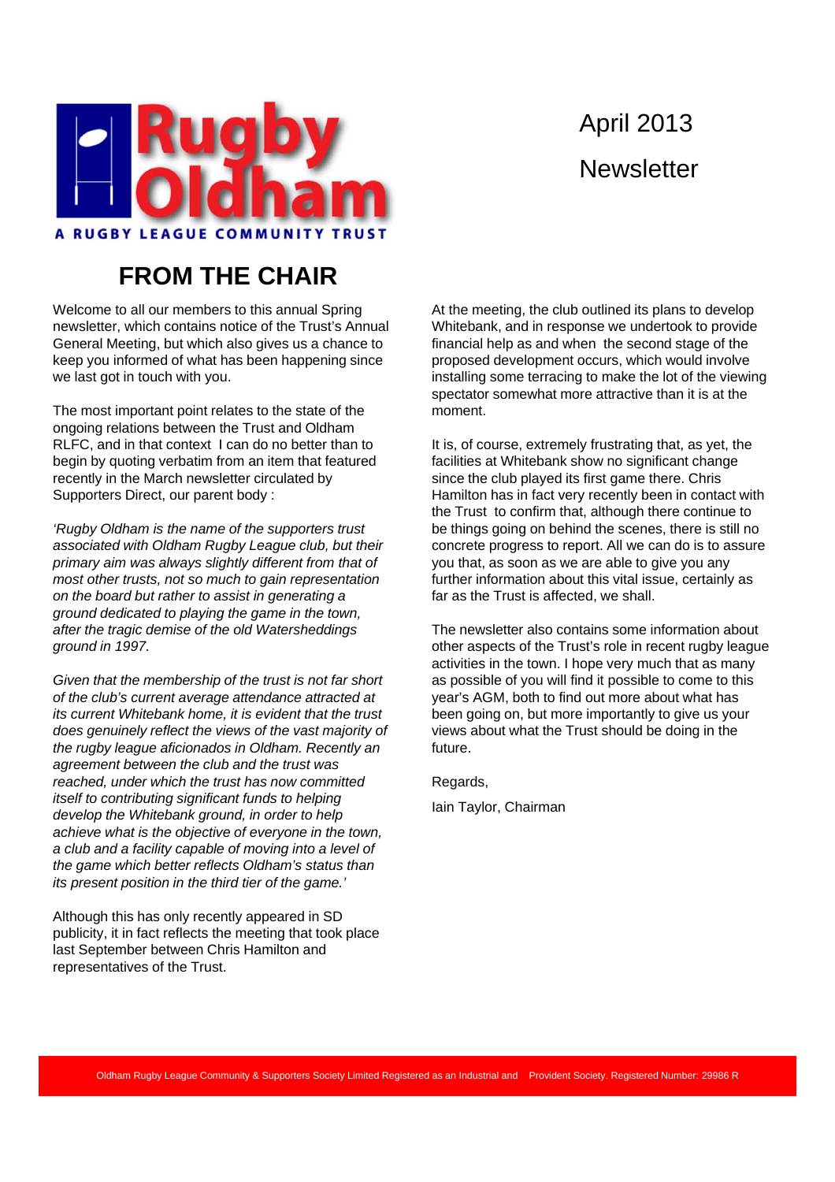

# April 2013 **Newsletter**

#### **FROM THE CHAIR**

Welcome to all our members to this annual Spring newsletter, which contains notice of the Trust's Annual General Meeting, but which also gives us a chance to keep you informed of what has been happening since we last got in touch with you.

The most important point relates to the state of the ongoing relations between the Trust and Oldham RLFC, and in that context I can do no better than to begin by quoting verbatim from an item that featured recently in the March newsletter circulated by Supporters Direct, our parent body :

*'Rugby Oldham is the name of the supporters trust associated with Oldham Rugby League club, but their primary aim was always slightly different from that of most other trusts, not so much to gain representation on the board but rather to assist in generating a ground dedicated to playing the game in the town, after the tragic demise of the old Watersheddings ground in 1997.* 

*Given that the membership of the trust is not far short of the club's current average attendance attracted at its current Whitebank home, it is evident that the trust does genuinely reflect the views of the vast majority of the rugby league aficionados in Oldham. Recently an agreement between the club and the trust was reached, under which the trust has now committed itself to contributing significant funds to helping develop the Whitebank ground, in order to help achieve what is the objective of everyone in the town, a club and a facility capable of moving into a level of the game which better reflects Oldham's status than its present position in the third tier of the game.'*

Although this has only recently appeared in SD publicity, it in fact reflects the meeting that took place last September between Chris Hamilton and representatives of the Trust.

At the meeting, the club outlined its plans to develop Whitebank, and in response we undertook to provide financial help as and when the second stage of the proposed development occurs, which would involve installing some terracing to make the lot of the viewing spectator somewhat more attractive than it is at the moment.

It is, of course, extremely frustrating that, as yet, the facilities at Whitebank show no significant change since the club played its first game there. Chris Hamilton has in fact very recently been in contact with the Trust to confirm that, although there continue to be things going on behind the scenes, there is still no concrete progress to report. All we can do is to assure you that, as soon as we are able to give you any further information about this vital issue, certainly as far as the Trust is affected, we shall.

The newsletter also contains some information about other aspects of the Trust's role in recent rugby league activities in the town. I hope very much that as many as possible of you will find it possible to come to this year's AGM, both to find out more about what has been going on, but more importantly to give us your views about what the Trust should be doing in the future.

Regards, Iain Taylor, Chairman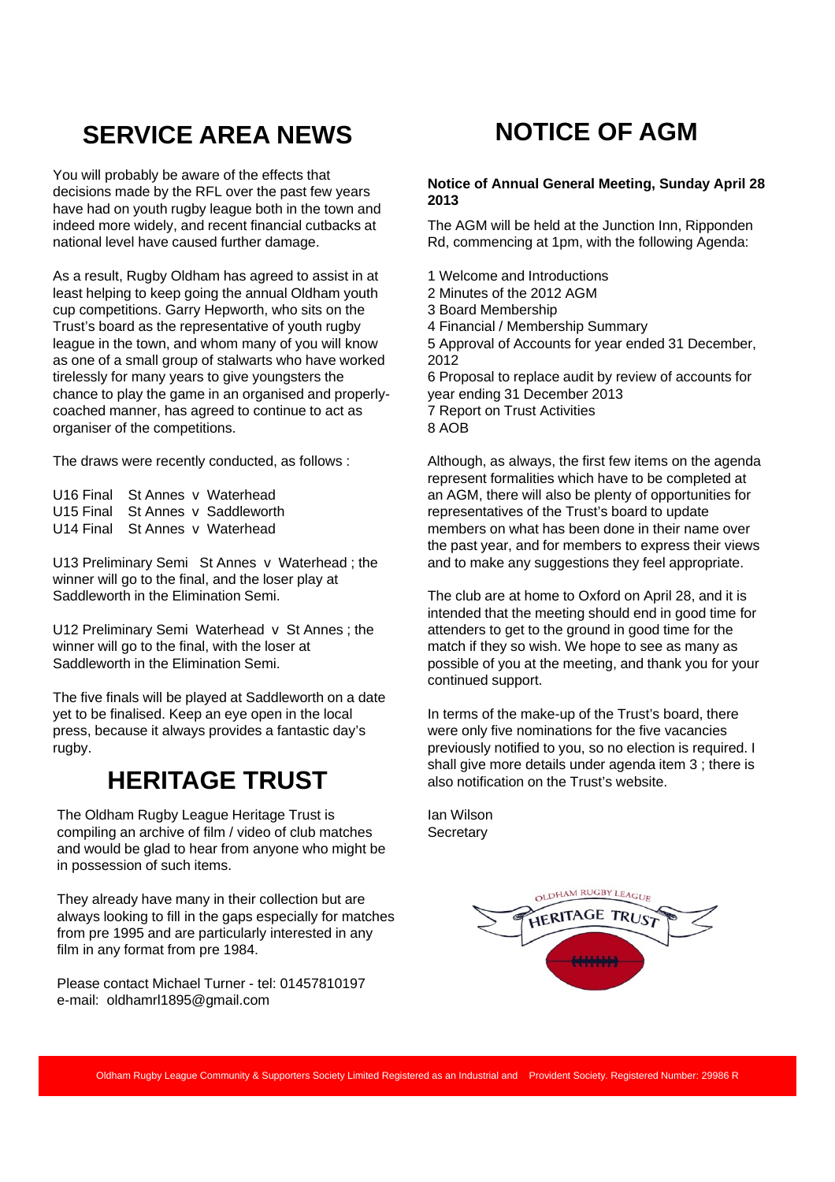# **SERVICE AREA NEWS**

You will probably be aware of the effects that decisions made by the RFL over the past few years have had on youth rugby league both in the town and indeed more widely, and recent financial cutbacks at national level have caused further damage.

As a result, Rugby Oldham has agreed to assist in at least helping to keep going the annual Oldham youth cup competitions. Garry Hepworth, who sits on the Trust's board as the representative of youth rugby league in the town, and whom many of you will know as one of a small group of stalwarts who have worked tirelessly for many years to give youngsters the chance to play the game in an organised and properlycoached manner, has agreed to continue to act as organiser of the competitions.

The draws were recently conducted, as follows :

U16 Final St Annes v Waterhead U15 Final St Annes v Saddleworth U14 Final St Annes v Waterhead

U13 Preliminary Semi St Annes v Waterhead ; the winner will go to the final, and the loser play at Saddleworth in the Elimination Semi.

U12 Preliminary Semi Waterhead v St Annes ; the winner will go to the final, with the loser at Saddleworth in the Elimination Semi.

The five finals will be played at Saddleworth on a date yet to be finalised. Keep an eye open in the local press, because it always provides a fantastic day's rugby.

# **HERITAGE TRUST**

The Oldham Rugby League Heritage Trust is compiling an archive of film / video of club matches and would be glad to hear from anyone who might be in possession of such items.

They already have many in their collection but are always looking to fill in the gaps especially for matches from pre 1995 and are particularly interested in any film in any format from pre 1984.

Please contact Michael Turner - tel: 01457810197 e-mail: oldhamrl1895@gmail.com

# **NOTICE OF AGM**

#### **Notice of Annual General Meeting, Sunday April 28 2013**

The AGM will be held at the Junction Inn, Ripponden Rd, commencing at 1pm, with the following Agenda:

- 1 Welcome and Introductions
- 2 Minutes of the 2012 AGM
- 3 Board Membership
- 4 Financial / Membership Summary

5 Approval of Accounts for year ended 31 December, 2012

6 Proposal to replace audit by review of accounts for year ending 31 December 2013 7 Report on Trust Activities 8 AOB

Although, as always, the first few items on the agenda represent formalities which have to be completed at an AGM, there will also be plenty of opportunities for representatives of the Trust's board to update members on what has been done in their name over the past year, and for members to express their views and to make any suggestions they feel appropriate.

The club are at home to Oxford on April 28, and it is intended that the meeting should end in good time for attenders to get to the ground in good time for the match if they so wish. We hope to see as many as possible of you at the meeting, and thank you for your continued support.

In terms of the make-up of the Trust's board, there were only five nominations for the five vacancies previously notified to you, so no election is required. I shall give more details under agenda item 3 ; there is also notification on the Trust's website.

Ian Wilson **Secretary** 

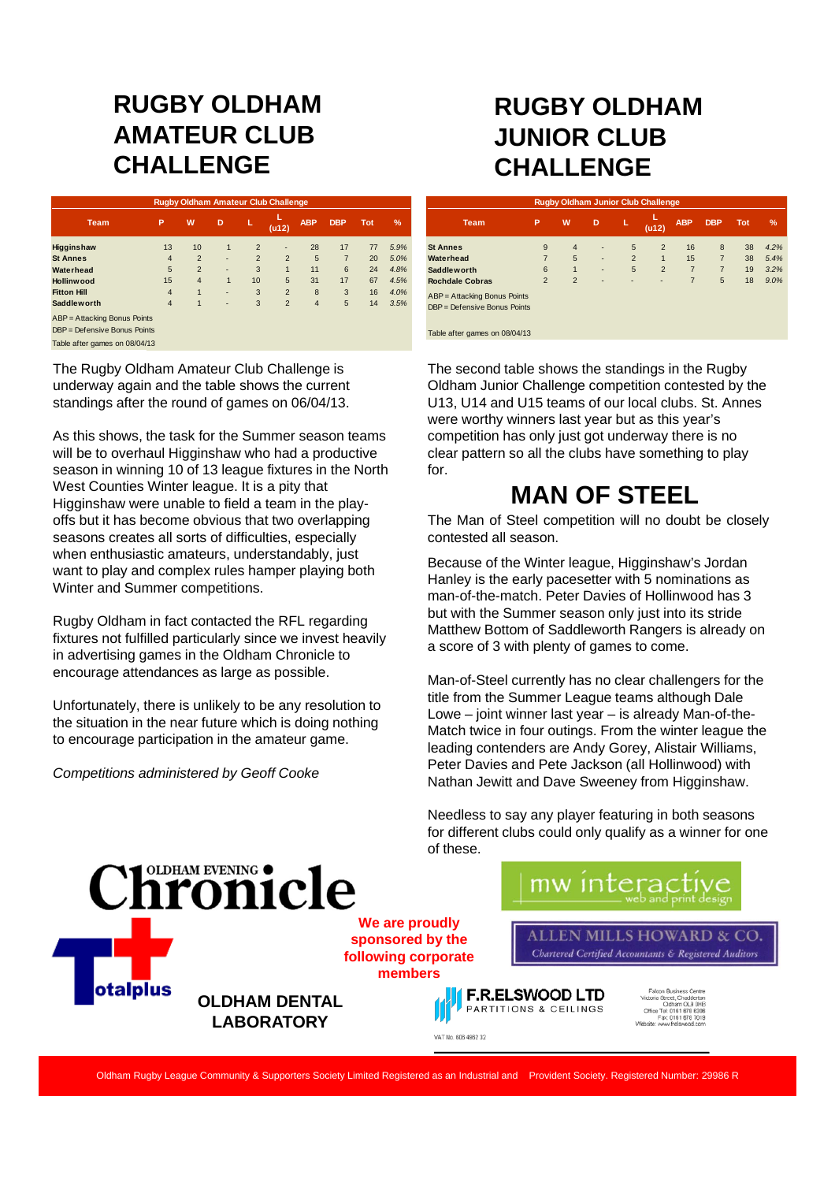#### **RUGBY OLDHAM AMATEUR CLUB CHALLENGE**

| <b>Rugby Oldham Amateur Club Challenge</b>                   |                |                |   |                |                |                |                |            |               |  |
|--------------------------------------------------------------|----------------|----------------|---|----------------|----------------|----------------|----------------|------------|---------------|--|
| <b>Team</b>                                                  | P              | W              | D | L              | (412)          | <b>ABP</b>     | <b>DBP</b>     | <b>Tot</b> | $\frac{9}{6}$ |  |
| Higginshaw                                                   | 13             | 10             | 1 | $\overline{2}$ | ٠              | 28             | 17             | 77         | 5.9%          |  |
| <b>St Annes</b>                                              | $\overline{4}$ | $\overline{2}$ | ٠ | $\overline{2}$ | $\overline{2}$ | 5              | $\overline{7}$ | 20         | 5.0%          |  |
| Waterhead                                                    | 5              | $\overline{2}$ | ٠ | 3              | $\mathbf{1}$   | 11             | 6              | 24         | 4.8%          |  |
| Hollinwood                                                   | 15             | $\overline{4}$ | 1 | 10             | 5              | 31             | 17             | 67         | 4.5%          |  |
| <b>Fitton Hill</b>                                           | $\overline{4}$ | $\overline{1}$ | ٠ | 3              | $\overline{2}$ | 8              | 3              | 16         | 4.0%          |  |
| <b>Saddleworth</b>                                           | $\overline{4}$ | 1              | ٠ | 3              | $\overline{2}$ | $\overline{4}$ | 5              | 14         | 3.5%          |  |
| ABP = Attacking Bonus Points<br>DBP = Defensive Bonus Points |                |                |   |                |                |                |                |            |               |  |
| Table after games on 08/04/13                                |                |                |   |                |                |                |                |            |               |  |

The Rugby Oldham Amateur Club Challenge is underway again and the table shows the current standings after the round of games on 06/04/13.

As this shows, the task for the Summer season teams will be to overhaul Higginshaw who had a productive season in winning 10 of 13 league fixtures in the North West Counties Winter league. It is a pity that Higginshaw were unable to field a team in the playoffs but it has become obvious that two overlapping seasons creates all sorts of difficulties, especially when enthusiastic amateurs, understandably, just want to play and complex rules hamper playing both Winter and Summer competitions.

Rugby Oldham in fact contacted the RFL regarding fixtures not fulfilled particularly since we invest heavily in advertising games in the Oldham Chronicle to encourage attendances as large as possible.

Unfortunately, there is unlikely to be any resolution to the situation in the near future which is doing nothing to encourage participation in the amateur game.

*Competitions administered by Geoff Cooke*

### **RUGBY OLDHAM JUNIOR CLUB CHALLENGE**

| <b>Rugby Oldham Junior Club Challenge</b> |                |                |                          |                |                |                |                |            |      |  |
|-------------------------------------------|----------------|----------------|--------------------------|----------------|----------------|----------------|----------------|------------|------|--|
| <b>Team</b>                               | P              | W.             | D                        | L              | L<br>(412)     | <b>ABP</b>     | <b>DBP</b>     | <b>Tot</b> | %    |  |
| <b>St Annes</b>                           | 9              | $\overline{4}$ | ٠                        | 5              | $\overline{2}$ | 16             | 8              | 38         | 4.2% |  |
| Waterhead                                 | $\overline{7}$ | 5              | ۰                        | $\overline{2}$ | $\mathbf{1}$   | 15             | $\overline{7}$ | 38         | 5.4% |  |
| <b>Saddleworth</b>                        | 6              | $\mathbf{1}$   | ٠                        | 5              | $\overline{2}$ | $\overline{7}$ | $\overline{7}$ | 19         | 3.2% |  |
| <b>Rochdale Cobras</b>                    | $\overline{2}$ | $\overline{2}$ | $\overline{\phantom{a}}$ | ٠              | ٠              | 7              | 5              | 18         | 9.0% |  |
| ABP = Attacking Bonus Points              |                |                |                          |                |                |                |                |            |      |  |
| DBP = Defensive Bonus Points              |                |                |                          |                |                |                |                |            |      |  |
|                                           |                |                |                          |                |                |                |                |            |      |  |
| Table after games on 08/04/13             |                |                |                          |                |                |                |                |            |      |  |

The second table shows the standings in the Rugby Oldham Junior Challenge competition contested by the U13, U14 and U15 teams of our local clubs. St. Annes were worthy winners last year but as this year's competition has only just got underway there is no clear pattern so all the clubs have something to play for.

#### **MAN OF STEEL**

The Man of Steel competition will no doubt be closely contested all season.

Because of the Winter league, Higginshaw's Jordan Hanley is the early pacesetter with 5 nominations as man-of-the-match. Peter Davies of Hollinwood has 3 but with the Summer season only just into its stride Matthew Bottom of Saddleworth Rangers is already on a score of 3 with plenty of games to come.

Man-of-Steel currently has no clear challengers for the title from the Summer League teams although Dale Lowe – joint winner last year – is already Man-of-the-Match twice in four outings. From the winter league the leading contenders are Andy Gorey, Alistair Williams, Peter Davies and Pete Jackson (all Hollinwood) with Nathan Jewitt and Dave Sweeney from Higginshaw.

Needless to say any player featuring in both seasons for different clubs could only qualify as a winner for one of these.

hronicle **We are proudly sponsored by the following corporate members OLDHAM DENTAL LABORATORY**

mw interac ALLEN MILLS HOWARD & CO. Chartered Certified Accountants & Registered Auditors



Office Tel: 0161 678 6306<br>Ciffice Tel: 0161 678 6306<br>Fac: 0161 678 7019

Oldham Rugby League Community & Supporters Society Limited Registered as an Industrial and Provident Society. Registered Number: 29986 R